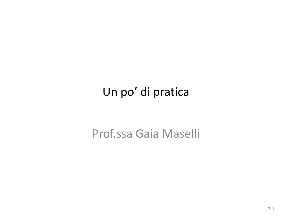### Un po' di pratica

### Prof.ssa Gaia Maselli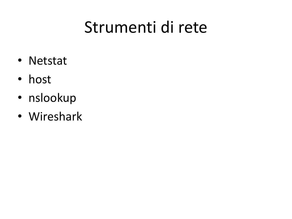### Strumenti di rete

- Netstat
- host
- nslookup
- Wireshark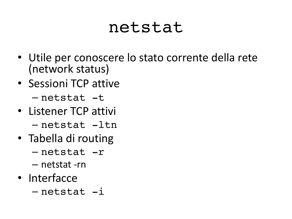### netstat

- Utile per conoscere lo stato corrente della rete (network status)
- Sessioni TCP attive

– netstat -t

- Listener TCP attivi – netstat -ltn
- Tabella di routing
	- netstat -r
	- netstat -rn
- Interfacce
	- netstat -i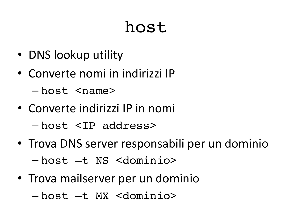### host

- DNS lookup utility
- Converte nomi in indirizzi IP

 $-$  host  $<$ name>

- Converte indirizzi IP in nomi – host <IP address>
- Trova DNS server responsabili per un dominio – host –t NS <dominio>
- Trova mailserver per un dominio – host –t MX <dominio>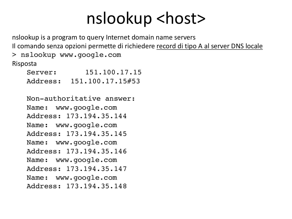### nslookup <host>

nslookup is a program to query Internet domain name servers Il comando senza opzioni permette di richiedere record di tipo A al server DNS locale

> nslookup www.google.com Risposta

| Server:  | 151.100.17.15    |
|----------|------------------|
| Address: | 151.100.17.15#53 |

Non-authoritative answer: Name: www.google.com Address: 173.194.35.144 Name: www.google.com Address: 173.194.35.145 Name: www.google.com Address: 173.194.35.146 Name: www.google.com Address: 173.194.35.147 Name: www.google.com Address: 173.194.35.148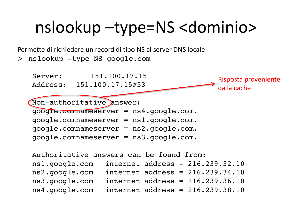### nslookup –type=NS <dominio>

Permette di richiedere un record di tipo NS al server DNS locale

> nslookup -type=NS google.com

Server: 151.100.17.15 Address: 151.100.17.15#53

Risposta proveniente dalla cache

Non-authoritative answer: google.comnameserver = ns4.google.com. google.comnameserver = ns1.google.com. google.comnameserver = ns2.google.com. google.comnameserver = ns3.google.com.

Authoritative answers can be found from: ns1.google.com internet address = 216.239.32.10 ns2.google.com internet address = 216.239.34.10 ns3.google.com internet address = 216.239.36.10 ns4.google.com internet address = 216.239.38.10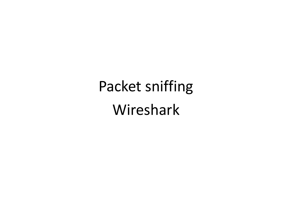Packet sniffing Wireshark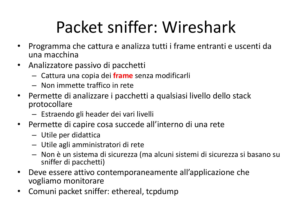## Packet sniffer: Wireshark

- Programma che cattura e analizza tutti i frame entranti e uscenti da una macchina
- Analizzatore passivo di pacchetti
	- Cattura una copia dei **frame** senza modificarli
	- Non immette traffico in rete
- Permette di analizzare i pacchetti a qualsiasi livello dello stack protocollare
	- Estraendo gli header dei vari livelli
- Permette di capire cosa succede all'interno di una rete
	- Utile per didattica
	- Utile agli amministratori di rete
	- Non è un sistema di sicurezza (ma alcuni sistemi di sicurezza si basano su sniffer di pacchetti)
- Deve essere attivo contemporaneamente all'applicazione che vogliamo monitorare
- Comuni packet sniffer: ethereal, tcpdump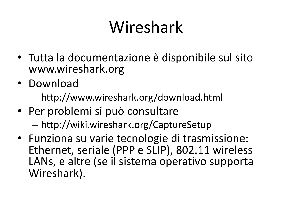## Wireshark

- Tutta la documentazione è disponibile sul sito www.wireshark.org
- Download
	- http://www.wireshark.org/download.html
- Per problemi si può consultare – http://wiki.wireshark.org/CaptureSetup
- Funziona su varie tecnologie di trasmissione: Ethernet, seriale (PPP e SLIP), 802.11 wireless LANs, e altre (se il sistema operativo supporta Wireshark).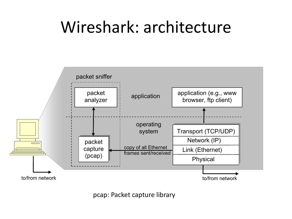#### Wireshark: architecture encapsulated with an Ethernet frame. Capturing all link-layer frames in the capturing  $\alpha$

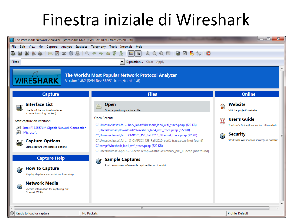## Finestra iniziale di Wireshark

| $\overline{\phantom{a}}$ $\overline{\phantom{a}}$<br>7 The Wireshark Network Analyzer [Wireshark 1.6.2 (SVN Rev 38931 from /trunk-1.6)]                                                                                                                                                     |                                                                                                                                                                                                                                                                                                                                                                                                                                                                                                 |                                                                                                                                                                                                 |  |
|---------------------------------------------------------------------------------------------------------------------------------------------------------------------------------------------------------------------------------------------------------------------------------------------|-------------------------------------------------------------------------------------------------------------------------------------------------------------------------------------------------------------------------------------------------------------------------------------------------------------------------------------------------------------------------------------------------------------------------------------------------------------------------------------------------|-------------------------------------------------------------------------------------------------------------------------------------------------------------------------------------------------|--|
| File Edit View Go Capture Analyze Statistics Telephony Tools Internals Help<br>GI<br>因品<br><b>BBX28Q++47</b><br>$\circledcirc$<br>Q<br>FI<br>Ł.<br>⊛<br><b>DA</b><br><b>% H</b>                                                                                                             |                                                                                                                                                                                                                                                                                                                                                                                                                                                                                                 |                                                                                                                                                                                                 |  |
| Filter:<br>$\blacktriangledown$<br>Expression Clear Apply                                                                                                                                                                                                                                   |                                                                                                                                                                                                                                                                                                                                                                                                                                                                                                 |                                                                                                                                                                                                 |  |
| The World's Most Popular Network Protocol Analyzer<br><b>IRESHARK</b><br>Version 1.6.2 (SVN Rev 38931 from /trunk-1.6)                                                                                                                                                                      |                                                                                                                                                                                                                                                                                                                                                                                                                                                                                                 |                                                                                                                                                                                                 |  |
| <b>Capture</b>                                                                                                                                                                                                                                                                              | <b>Files</b>                                                                                                                                                                                                                                                                                                                                                                                                                                                                                    | <b>Online</b>                                                                                                                                                                                   |  |
| <b>Interface List</b><br>릴<br>Live list of the capture interfaces<br>(counts incoming packets)<br>Start capture on interface:<br>Intel(R) 82567LM Gigabit Network Connection<br>g.<br>$\overline{r}$<br>Microsoft<br><b>Capture Options</b><br>g.,<br>Start a capture with detailed options | Open<br>Open a previously captured file<br>Open Recent:<br>C:\Umass\classes\fal  hark_labs\Wireshark_lab4_wifi_trace.pcap (622 KB)<br>C:\Users\kurose\Downloads\Wireshark_lab4_wifi_trace.pcap (622 KB)<br>C:\Umass\classes\fal  CMPSCI_453_Fall 2010_Ethernet_trace.pcap (22 KB)<br>C:\Umass\classes\fal  3 CMPSCI 453 Fall 2010 part1 trace.pcap [not found]<br>C:\temp\Wireshark_lab4_wifi_trace.pcap (622 KB)<br>C:\Users\kurose\AppD  \Local\Temp\wzafbe\Wireshark_802_11.pcap [not found] | Website<br>Visit the project's website<br>User's Guide<br>$\mathbf{r}$<br>The User's Guide (local version, if installed)<br><b>Security</b><br>Ø<br>Work with Wireshark as securely as possible |  |
| <b>Capture Help</b><br><b>How to Capture</b><br>Ø<br>Step by step to a successful capture setup<br><b>Network Media</b><br>Ø<br>Specific information for capturing on:<br>Ethernet, WLAN,                                                                                                   | <b>Sample Captures</b><br>Ø<br>A rich assortment of example capture files on the wiki                                                                                                                                                                                                                                                                                                                                                                                                           |                                                                                                                                                                                                 |  |
| Ready to load or capture                                                                                                                                                                                                                                                                    | m.<br>No Packets                                                                                                                                                                                                                                                                                                                                                                                                                                                                                | <b>Profile: Default</b>                                                                                                                                                                         |  |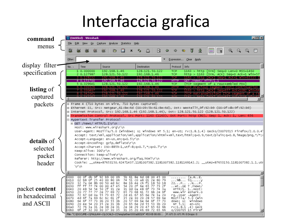#### Interfaccia grafica packet capture, you can stop it but the Capture pull down menu and selection  $\mathbb{R}^n$

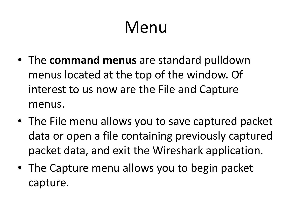## Menu

- The **command menus** are standard pulldown menus located at the top of the window. Of interest to us now are the File and Capture menus.
- The File menu allows you to save captured packet data or open a file containing previously captured packet data, and exit the Wireshark application.
- The Capture menu allows you to begin packet capture.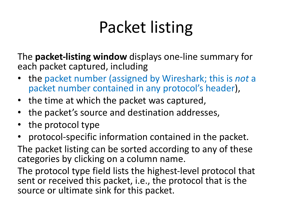## Packet listing

The **packet-listing window** displays one-line summary for each packet captured, including

- the packet number (assigned by Wireshark; this is *not* a packet number contained in any protocol's header),
- the time at which the packet was captured,
- the packet's source and destination addresses,
- the protocol type
- protocol-specific information contained in the packet.

The packet listing can be sorted according to any of these categories by clicking on a column name.

The protocol type field lists the highest-level protocol that sent or received this packet, i.e., the protocol that is the source or ultimate sink for this packet.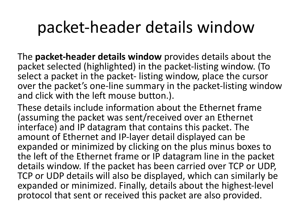### packet-header details window

The **packet-header details window** provides details about the packet selected (highlighted) in the packet-listing window. (To select a packet in the packet- listing window, place the cursor over the packet's one-line summary in the packet-listing window and click with the left mouse button.).

These details include information about the Ethernet frame (assuming the packet was sent/received over an Ethernet interface) and IP datagram that contains this packet. The amount of Ethernet and IP-layer detail displayed can be expanded or minimized by clicking on the plus minus boxes to the left of the Ethernet frame or IP datagram line in the packet details window. If the packet has been carried over TCP or UDP, TCP or UDP details will also be displayed, which can similarly be expanded or minimized. Finally, details about the highest-level protocol that sent or received this packet are also provided.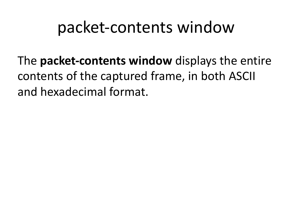### packet-contents window

The **packet-contents window** displays the entire contents of the captured frame, in both ASCII and hexadecimal format.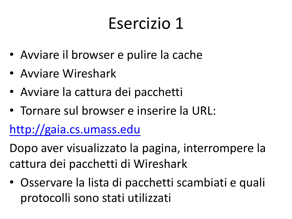# [Eserc](http://gaia.cs.umass.edu/)izio 1

- Avviare il browser e pulire la cache
- Avviare Wireshark
- Avviare la cattura dei pacchetti
- Tornare sul browser e inserire la URL:

http://gaia.cs.umass.edu

Dopo aver visualizzato la pagina, interromper cattura dei pacchetti di Wireshark

Osservare la lista di pacchetti scambiati e quali protocolli sono stati utilizzati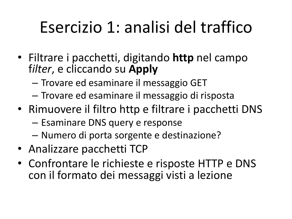## Esercizio 1: analisi del traffico

- Filtrare i pacchetti, digitando **http** nel campo f*ilter*, e cliccando su **Apply**
	- Trovare ed esaminare il messaggio GET
	- Trovare ed esaminare il messaggio di risposta
- Rimuovere il filtro http e filtrare i pacchetti DNS
	- Esaminare DNS query e response
	- Numero di porta sorgente e destinazione?
- Analizzare pacchetti TCP
- Confrontare le richieste e risposte HTTP e DNS con il formato dei messaggi visti a lezione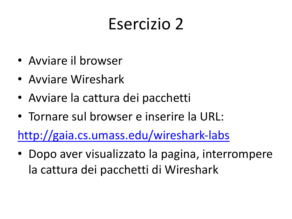# [Esercizio 2](http://gaia.cs.umass.edu/wireshark-labs/INTRO-wireshark-file4.html)

- Avviare il browser
- Avviare Wireshark
- Avviare la cattura dei pacchetti
- Tornare sul browser e inserire la URL:

http://gaia.cs.umass.edu/wireshark-labs

• Dopo aver visualizzato la pagina, interrom la cattura dei pacchetti di Wireshark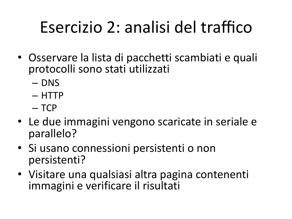## Esercizio 2: analisi del traffico

- Osservare la lista di pacchetti scambiati e quali protocolli sono stati utilizzati
	- DNS
	- HTTP
	- TCP
- Le due immagini vengono scaricate in seriale e parallelo?
- Si usano connessioni persistenti o non persistenti?
- Visitare una qualsiasi altra pagina contenenti immagini e verificare il risultati